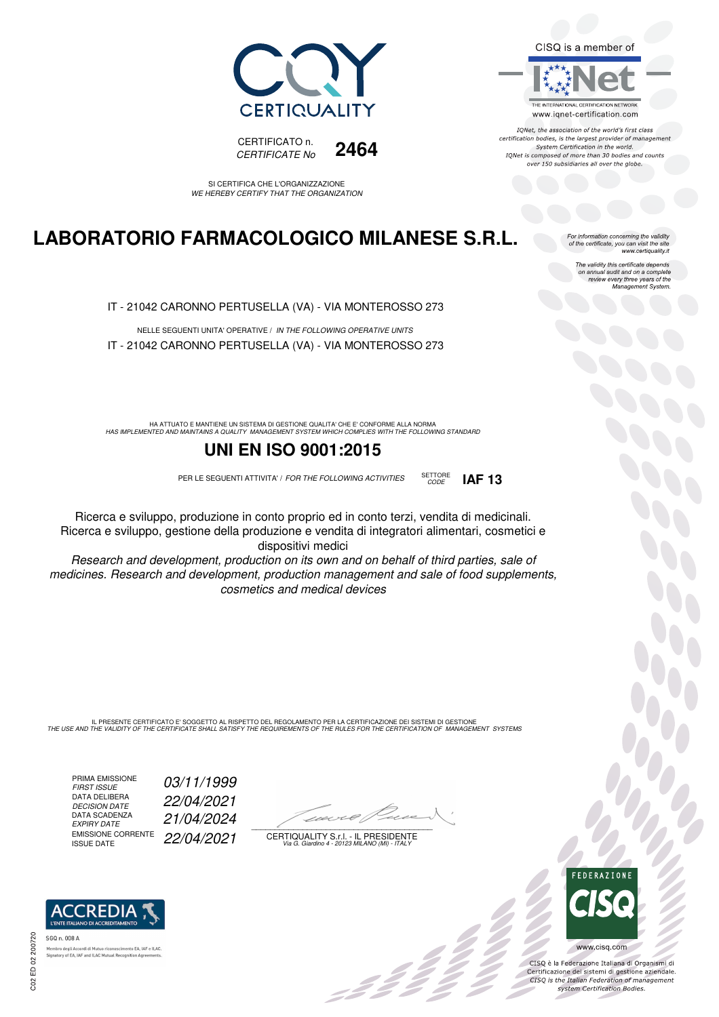



SI CERTIFICA CHE L'ORGANIZZAZIONE WE HEREBY CERTIFY THAT THE ORGANIZATION

# **LABORATORIO FARMACOLOGICO MILANESE S.R.L.**

IT - 21042 CARONNO PERTUSELLA (VA) - VIA MONTEROSSO 273

NELLE SEGUENTI UNITA' OPERATIVE / IN THE FOLLOWING OPERATIVE UNITS IT - 21042 CARONNO PERTUSELLA (VA) - VIA MONTEROSSO 273

HA ATTUATO E MANTIENE UN SISTEMA DI GESTIONE QUALITA' CHE E' CONFORME ALLA NORMA<br>HAS IMPLEMENTED AND MAINTAINS A QUALITY MANAGEMENT SYSTEM WHICH COMPLIES WITH THE FOLLOWING STANDARD

## **UNI EN ISO 9001:2015**

PER LE SEGUENTI ATTIVITA' / FOR THE FOLLOWING ACTIVITIES SETTORE



Research and development, production on its own and on behalf of third parties, sale of medicines. Research and development, production management and sale of food supplements, cosmetics and medical devices

IL PRESENTE CERTIFICATO E' SOGGETTO AL RISPETTO DEL REGOLAMENTO PER LA CERTIFICAZIONE DEI SISTEMI DI GESTIONE<br>THE USE AND THE VALIDITY OF THE CERTIFICATE SHALL SATISFY THE REQUIREMENTS OF THE RULES FOR THE CERTIFICATION OF

PRIMA EMISSIONE<br>FIRST ISSUE DATA DELIBERA<br>DECISION DATE DATA SCADENZA<br>EXPIRY DATE EMISSIONE CORRENTE<br>ISSUE DATE

03/11/1999 22/04/2021 EXPIRY DATE 21/04/2024 22/04/2021

 $\overline{\phantom{a}}$ 

:422

CERTIQUALITY S.r.l. - IL PRESIDENTE Via G. Giardino 4 - 20123 MILANO (MI) - ITALY



IONet, the association of the world's first class certification bodies, is the largest provider of management System Certification in the world. IQNet is composed of more than 30 bodies and counts over 150 subsidiaries all over the globe.

CODE **IAF 13**

For information concerning the validity<br>of the certificate, you can visit the site<br>www.certiquality.it

The validity this certificate depends on annual audit and on a complete review every three years of the Management System.



CISQ è la Federazione Italiana di Organismi di Certificazione dei sistemi di gestione aziendale.<br>CISQ is the Italian Federation of management system Certification Bodies.



tory of EA, IAF and ILAC Mutual Recognit